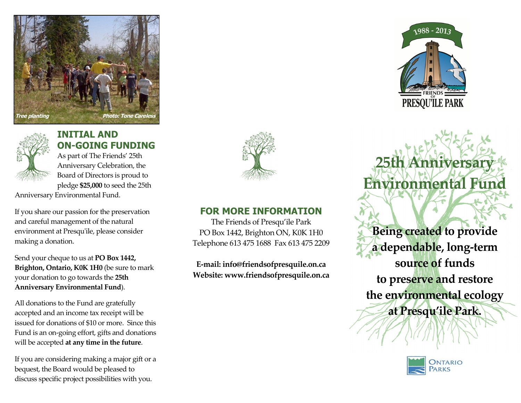



## **INITIAL AND ON-GOING FUNDING**

As part of The Friends' 25th Anniversary Celebration, the Board of Directors is proud to pledge **\$25,000** to seed the 25th

Anniversary Environmental Fund.

If you share our passion for the preservation and careful management of the natural environment at Presqu'ile, please consider making a donation.

Send your cheque to us at **PO Box 1442, Brighton, Ontario, K0K 1H0** (be sure to mark your donation to go towards the **25th Anniversary Environmental Fund**).

All donations to the Fund are gratefully accepted and an income tax receipt will be issued for donations of \$10 or more. Since this Fund is an on-going effort, gifts and donations will be accepted **at any time in the future**.

If you are considering making a major gift or a bequest, the Board would be pleased to discuss specific project possibilities with you.



### **FOR MORE INFORMATION**

The Friends of Presqu'ile Park PO Box 1442, Brighton ON, K0K 1H0 Telephone 613 475 1688 Fax 613 475 2209

**E-mail: info@friendsofpresquile.on.ca Website: www.friendsofpresquile.on.ca**



**25th Anniversar** 

**Environmental Fun** 

**Being created to provide a dependable, long-term source of funds to preserve and restore the environmental ecology at Presqu'ile Park.**